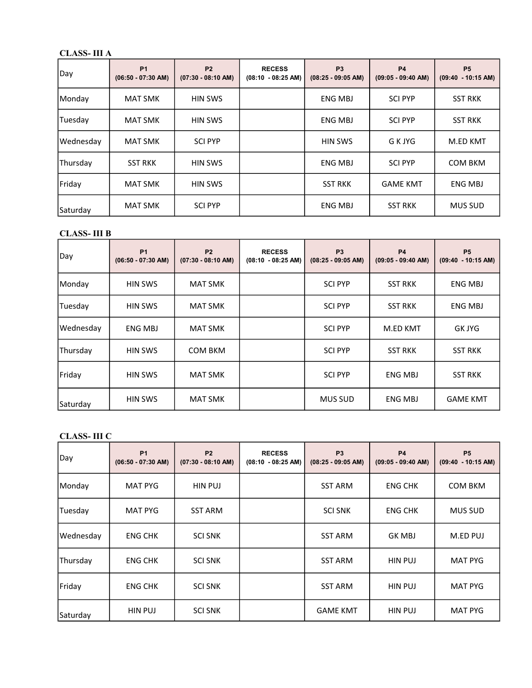## CLASS- III A

| Day       | <b>P1</b><br>$(06:50 - 07:30$ AM) | <b>P2</b><br>$(07:30 - 08:10$ AM) | <b>RECESS</b><br>$(08:10 - 08:25 AM)$ | <b>P3</b><br>$(08:25 - 09:05$ AM) | <b>P4</b><br>$(09:05 - 09:40$ AM) | <b>P5</b><br>$(09:40 - 10:15$ AM) |
|-----------|-----------------------------------|-----------------------------------|---------------------------------------|-----------------------------------|-----------------------------------|-----------------------------------|
| Monday    | <b>MAT SMK</b>                    | <b>HIN SWS</b>                    |                                       | <b>ENG MBJ</b>                    | <b>SCI PYP</b>                    | <b>SST RKK</b>                    |
| Tuesday   | <b>MAT SMK</b>                    | <b>HIN SWS</b>                    |                                       | <b>ENG MBJ</b>                    | <b>SCI PYP</b>                    | <b>SST RKK</b>                    |
| Wednesday | <b>MAT SMK</b>                    | <b>SCI PYP</b>                    |                                       | <b>HIN SWS</b>                    | G K JYG                           | M.ED KMT                          |
| Thursday  | <b>SST RKK</b>                    | <b>HIN SWS</b>                    |                                       | <b>ENG MBJ</b>                    | <b>SCI PYP</b>                    | COM BKM                           |
| Friday    | <b>MAT SMK</b>                    | <b>HIN SWS</b>                    |                                       | <b>SST RKK</b>                    | <b>GAME KMT</b>                   | ENG MBJ                           |
| Saturday  | <b>MAT SMK</b>                    | <b>SCI PYP</b>                    |                                       | <b>ENG MBJ</b>                    | <b>SST RKK</b>                    | <b>MUS SUD</b>                    |

### CLASS- III B

| Day       | <b>P1</b><br>$(06:50 - 07:30$ AM) | <b>P2</b><br>$(07:30 - 08:10$ AM) | <b>RECESS</b><br>$(08:10 - 08:25 AM)$ | P <sub>3</sub><br>$(08:25 - 09:05 AM)$ | <b>P4</b><br>$(09:05 - 09:40$ AM) | <b>P5</b><br>$(09:40 - 10:15$ AM) |
|-----------|-----------------------------------|-----------------------------------|---------------------------------------|----------------------------------------|-----------------------------------|-----------------------------------|
| Monday    | <b>HIN SWS</b>                    | <b>MAT SMK</b>                    |                                       | <b>SCI PYP</b>                         | <b>SST RKK</b>                    | <b>ENG MBJ</b>                    |
| Tuesday   | <b>HIN SWS</b>                    | <b>MAT SMK</b>                    |                                       | <b>SCI PYP</b>                         | <b>SST RKK</b>                    | ENG MBJ                           |
| Wednesday | ENG MBJ                           | <b>MAT SMK</b>                    |                                       | <b>SCI PYP</b>                         | M.ED KMT                          | <b>GK JYG</b>                     |
| Thursday  | <b>HIN SWS</b>                    | COM BKM                           |                                       | <b>SCI PYP</b>                         | <b>SST RKK</b>                    | <b>SST RKK</b>                    |
| Friday    | <b>HIN SWS</b>                    | <b>MAT SMK</b>                    |                                       | <b>SCI PYP</b>                         | <b>ENG MBJ</b>                    | <b>SST RKK</b>                    |
| Saturday  | <b>HIN SWS</b>                    | <b>MAT SMK</b>                    |                                       | <b>MUS SUD</b>                         | ENG MBJ                           | <b>GAME KMT</b>                   |

### CLASS- III C

| Day       | <b>P1</b><br>$(06:50 - 07:30$ AM) | <b>P2</b><br>$(07:30 - 08:10$ AM) | <b>RECESS</b><br>$(08:10 - 08:25 AM)$ | <b>P3</b><br>$(08:25 - 09:05 AM)$ | <b>P4</b><br>$(09:05 - 09:40$ AM) | P <sub>5</sub><br>$(09:40 - 10:15$ AM) |
|-----------|-----------------------------------|-----------------------------------|---------------------------------------|-----------------------------------|-----------------------------------|----------------------------------------|
| Monday    | <b>MAT PYG</b>                    | HIN PUJ                           |                                       | <b>SST ARM</b>                    | <b>ENG CHK</b>                    | <b>COM BKM</b>                         |
| Tuesday   | <b>MAT PYG</b>                    | <b>SST ARM</b>                    |                                       | <b>SCI SNK</b>                    | <b>ENG CHK</b>                    | <b>MUS SUD</b>                         |
| Wednesday | <b>ENG CHK</b>                    | <b>SCI SNK</b>                    |                                       | <b>SST ARM</b>                    | <b>GK MBJ</b>                     | M.ED PUJ                               |
| Thursday  | <b>ENG CHK</b>                    | <b>SCI SNK</b>                    |                                       | <b>SST ARM</b>                    | <b>HIN PUJ</b>                    | <b>MAT PYG</b>                         |
| Friday    | <b>ENG CHK</b>                    | <b>SCI SNK</b>                    |                                       | <b>SST ARM</b>                    | <b>HIN PUJ</b>                    | <b>MAT PYG</b>                         |
| Saturday  | <b>HIN PUJ</b>                    | <b>SCI SNK</b>                    |                                       | <b>GAME KMT</b>                   | <b>HIN PUJ</b>                    | <b>MAT PYG</b>                         |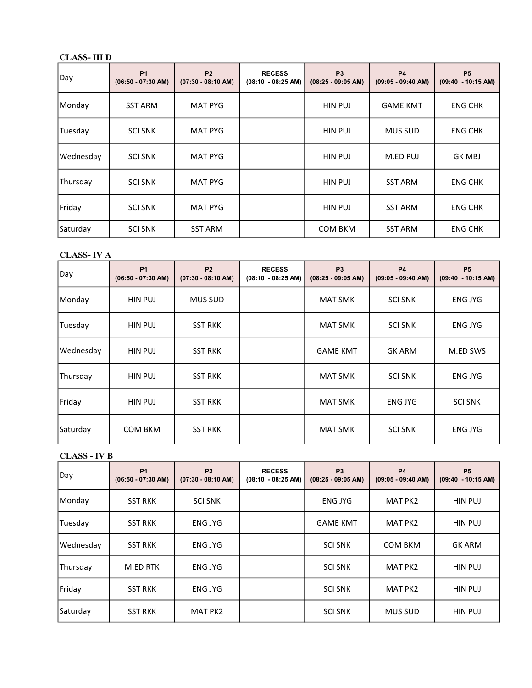### CLASS- III D

| Day       | <b>P1</b><br>$(06:50 - 07:30$ AM) | <b>P2</b><br>$(07:30 - 08:10$ AM) | <b>RECESS</b><br>$(08:10 - 08:25 \text{ AM})$ | P <sub>3</sub><br>$(08:25 - 09:05 AM)$ | <b>P4</b><br>$(09:05 - 09:40$ AM) | <b>P5</b><br>$(09:40 - 10:15$ AM) |
|-----------|-----------------------------------|-----------------------------------|-----------------------------------------------|----------------------------------------|-----------------------------------|-----------------------------------|
| Monday    | <b>SST ARM</b>                    | <b>MAT PYG</b>                    |                                               | <b>HIN PUJ</b>                         | <b>GAME KMT</b>                   | <b>ENG CHK</b>                    |
| Tuesday   | <b>SCI SNK</b>                    | <b>MAT PYG</b>                    |                                               | <b>HIN PUJ</b>                         | <b>MUS SUD</b>                    | <b>ENG CHK</b>                    |
| Wednesday | <b>SCI SNK</b>                    | <b>MAT PYG</b>                    |                                               | <b>HIN PUJ</b>                         | M.ED PUJ                          | <b>GK MBJ</b>                     |
| Thursday  | <b>SCI SNK</b>                    | <b>MAT PYG</b>                    |                                               | <b>HIN PUJ</b>                         | <b>SST ARM</b>                    | <b>ENG CHK</b>                    |
| Friday    | <b>SCI SNK</b>                    | <b>MAT PYG</b>                    |                                               | <b>HIN PUJ</b>                         | <b>SST ARM</b>                    | <b>ENG CHK</b>                    |
| Saturday  | <b>SCI SNK</b>                    | <b>SST ARM</b>                    |                                               | <b>COM BKM</b>                         | <b>SST ARM</b>                    | <b>ENG CHK</b>                    |

### CLASS- IV A

| Day       | P <sub>1</sub><br>$(06:50 - 07:30$ AM) | <b>P2</b><br>$(07:30 - 08:10$ AM) | <b>RECESS</b><br>$(08:10 - 08:25 \text{ AM})$ | P <sub>3</sub><br>$(08:25 - 09:05 AM)$ | <b>P4</b><br>$(09:05 - 09:40$ AM) | P <sub>5</sub><br>$(09:40 - 10:15$ AM) |
|-----------|----------------------------------------|-----------------------------------|-----------------------------------------------|----------------------------------------|-----------------------------------|----------------------------------------|
| Monday    | HIN PUJ                                | <b>MUS SUD</b>                    |                                               | <b>MAT SMK</b>                         | <b>SCI SNK</b>                    | <b>ENG JYG</b>                         |
| Tuesday   | HIN PUJ                                | <b>SST RKK</b>                    |                                               | <b>MAT SMK</b>                         | <b>SCI SNK</b>                    | <b>ENG JYG</b>                         |
| Wednesday | HIN PUJ                                | <b>SST RKK</b>                    |                                               | <b>GAME KMT</b>                        | <b>GK ARM</b>                     | M.ED SWS                               |
| Thursday  | HIN PUJ                                | <b>SST RKK</b>                    |                                               | <b>MAT SMK</b>                         | <b>SCI SNK</b>                    | <b>ENG JYG</b>                         |
| Friday    | HIN PUJ                                | <b>SST RKK</b>                    |                                               | <b>MAT SMK</b>                         | <b>ENG JYG</b>                    | <b>SCI SNK</b>                         |
| Saturday  | <b>COM BKM</b>                         | <b>SST RKK</b>                    |                                               | <b>MAT SMK</b>                         | <b>SCI SNK</b>                    | <b>ENG JYG</b>                         |

### CLASS - IV B

| Day       | <b>P1</b><br>$(06:50 - 07:30$ AM) | <b>P2</b><br>$(07:30 - 08:10$ AM) | <b>RECESS</b><br>$(08:10 - 08:25 AM)$ | P <sub>3</sub><br>$(08:25 - 09:05 AM)$ | <b>P4</b><br>$(09:05 - 09:40$ AM) | P <sub>5</sub><br>$(09:40 - 10:15$ AM) |
|-----------|-----------------------------------|-----------------------------------|---------------------------------------|----------------------------------------|-----------------------------------|----------------------------------------|
| Monday    | <b>SST RKK</b>                    | <b>SCI SNK</b>                    |                                       | <b>ENG JYG</b>                         | <b>MAT PK2</b>                    | <b>HIN PUJ</b>                         |
| Tuesday   | <b>SST RKK</b>                    | <b>ENG JYG</b>                    |                                       | <b>GAME KMT</b>                        | MAT PK2                           | <b>HIN PUJ</b>                         |
| Wednesday | <b>SST RKK</b>                    | <b>ENG JYG</b>                    |                                       | <b>SCI SNK</b>                         | <b>COM BKM</b>                    | <b>GK ARM</b>                          |
| Thursday  | M.ED RTK                          | <b>ENG JYG</b>                    |                                       | <b>SCI SNK</b>                         | MAT PK2                           | <b>HIN PUJ</b>                         |
| Friday    | <b>SST RKK</b>                    | <b>ENG JYG</b>                    |                                       | <b>SCI SNK</b>                         | MAT PK2                           | <b>HIN PUJ</b>                         |
| Saturday  | <b>SST RKK</b>                    | <b>MAT PK2</b>                    |                                       | <b>SCI SNK</b>                         | <b>MUS SUD</b>                    | <b>HIN PUJ</b>                         |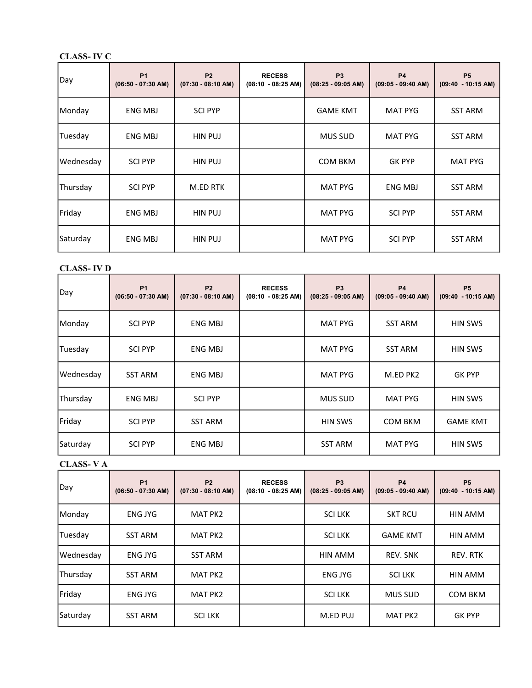### CLASS- IV C

| Day       | <b>P1</b><br>$(06:50 - 07:30$ AM) | <b>P2</b><br>$(07:30 - 08:10$ AM) | <b>RECESS</b><br>$(08:10 - 08:25 \text{ AM})$ | P <sub>3</sub><br>$(08:25 - 09:05 AM)$ | <b>P4</b><br>$(09:05 - 09:40$ AM) | P <sub>5</sub><br>$(09:40 - 10:15$ AM) |
|-----------|-----------------------------------|-----------------------------------|-----------------------------------------------|----------------------------------------|-----------------------------------|----------------------------------------|
| Monday    | <b>ENG MBJ</b>                    | <b>SCI PYP</b>                    |                                               | <b>GAME KMT</b>                        | <b>MAT PYG</b>                    | <b>SST ARM</b>                         |
| Tuesday   | <b>ENG MBJ</b>                    | <b>HIN PUJ</b>                    |                                               | <b>MUS SUD</b>                         | <b>MAT PYG</b>                    | <b>SST ARM</b>                         |
| Wednesday | <b>SCI PYP</b>                    | <b>HIN PUJ</b>                    |                                               | <b>COM BKM</b>                         | <b>GK PYP</b>                     | <b>MAT PYG</b>                         |
| Thursday  | <b>SCI PYP</b>                    | M.ED RTK                          |                                               | <b>MAT PYG</b>                         | <b>ENG MBJ</b>                    | <b>SST ARM</b>                         |
| Friday    | ENG MBJ                           | <b>HIN PUJ</b>                    |                                               | <b>MAT PYG</b>                         | <b>SCI PYP</b>                    | <b>SST ARM</b>                         |
| Saturday  | ENG MBJ                           | HIN PUJ                           |                                               | <b>MAT PYG</b>                         | <b>SCI PYP</b>                    | <b>SST ARM</b>                         |

### CLASS- IV D

| Day       | <b>P1</b><br>$(06:50 - 07:30$ AM) | <b>P2</b><br>$(07:30 - 08:10$ AM) | <b>RECESS</b><br>$(08:10 - 08:25 \text{ AM})$ | P <sub>3</sub><br>$(08:25 - 09:05 AM)$ | <b>P4</b><br>$(09:05 - 09:40$ AM) | P <sub>5</sub><br>$(09:40 - 10:15 AM)$ |
|-----------|-----------------------------------|-----------------------------------|-----------------------------------------------|----------------------------------------|-----------------------------------|----------------------------------------|
| Monday    | <b>SCI PYP</b>                    | <b>ENG MBJ</b>                    |                                               | <b>MAT PYG</b>                         | <b>SST ARM</b>                    | <b>HIN SWS</b>                         |
| Tuesday   | <b>SCI PYP</b>                    | <b>ENG MBJ</b>                    |                                               | <b>MAT PYG</b>                         | <b>SST ARM</b>                    | <b>HIN SWS</b>                         |
| Wednesday | <b>SST ARM</b>                    | <b>ENG MBJ</b>                    |                                               | <b>MAT PYG</b>                         | M.ED PK2                          | <b>GK PYP</b>                          |
| Thursday  | ENG MBJ                           | <b>SCI PYP</b>                    |                                               | <b>MUS SUD</b>                         | <b>MAT PYG</b>                    | <b>HIN SWS</b>                         |
| Friday    | <b>SCI PYP</b>                    | <b>SST ARM</b>                    |                                               | <b>HIN SWS</b>                         | <b>COM BKM</b>                    | <b>GAME KMT</b>                        |
| Saturday  | <b>SCI PYP</b>                    | <b>ENG MBJ</b>                    |                                               | <b>SST ARM</b>                         | <b>MAT PYG</b>                    | HIN SWS                                |

# CLASS- V A

| Day       | <b>P1</b><br>$(06:50 - 07:30$ AM) | <b>P2</b><br>$(07:30 - 08:10$ AM) | <b>RECESS</b><br>$(08:10 - 08:25 AM)$ | P <sub>3</sub><br>$(08:25 - 09:05 AM)$ | <b>P4</b><br>$(09:05 - 09:40$ AM) | <b>P5</b><br>$(09:40 - 10:15$ AM) |
|-----------|-----------------------------------|-----------------------------------|---------------------------------------|----------------------------------------|-----------------------------------|-----------------------------------|
| Monday    | <b>ENG JYG</b>                    | MAT PK2                           |                                       | <b>SCILKK</b>                          | <b>SKT RCU</b>                    | <b>HIN AMM</b>                    |
| Tuesday   | <b>SST ARM</b>                    | MAT PK2                           |                                       | <b>SCILKK</b>                          | <b>GAME KMT</b>                   | <b>HIN AMM</b>                    |
| Wednesday | <b>ENG JYG</b>                    | <b>SST ARM</b>                    |                                       | <b>HIN AMM</b>                         | <b>REV. SNK</b>                   | REV. RTK                          |
| Thursday  | <b>SST ARM</b>                    | <b>MAT PK2</b>                    |                                       | <b>ENG JYG</b>                         | <b>SCILKK</b>                     | <b>HIN AMM</b>                    |
| Friday    | <b>ENG JYG</b>                    | <b>MAT PK2</b>                    |                                       | <b>SCILKK</b>                          | <b>MUS SUD</b>                    | <b>COM BKM</b>                    |
| Saturday  | <b>SST ARM</b>                    | <b>SCILKK</b>                     |                                       | M.ED PUJ                               | <b>MAT PK2</b>                    | <b>GK PYP</b>                     |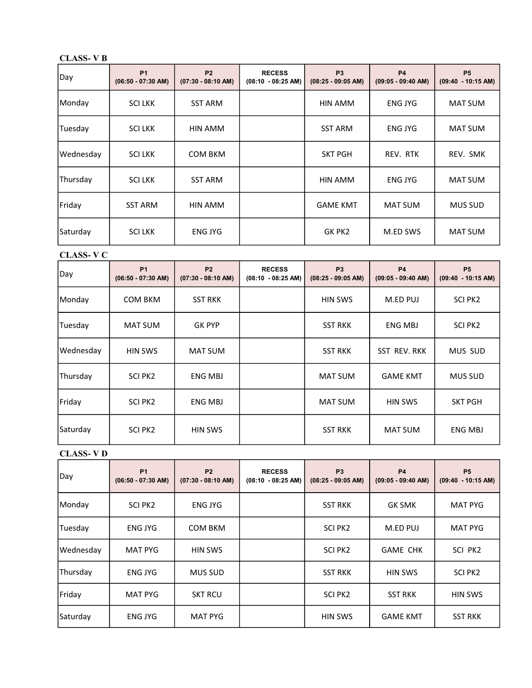### CLASS- V B

| Day       | <b>P1</b><br>$(06:50 - 07:30$ AM) | <b>P2</b><br>$(07:30 - 08:10$ AM) | <b>RECESS</b><br>$(08:10 - 08:25 AM)$ | P <sub>3</sub><br>$(08:25 - 09:05$ AM) | <b>P4</b><br>$(09:05 - 09:40$ AM) | P <sub>5</sub><br>$(09:40 - 10:15$ AM) |
|-----------|-----------------------------------|-----------------------------------|---------------------------------------|----------------------------------------|-----------------------------------|----------------------------------------|
| Monday    | <b>SCILKK</b>                     | <b>SST ARM</b>                    |                                       | HIN AMM                                | ENG JYG                           | <b>MAT SUM</b>                         |
| Tuesday   | <b>SCILKK</b>                     | HIN AMM                           |                                       | <b>SST ARM</b>                         | <b>ENG JYG</b>                    | <b>MAT SUM</b>                         |
| Wednesday | <b>SCILKK</b>                     | COM BKM                           |                                       | <b>SKT PGH</b>                         | REV. RTK                          | REV. SMK                               |
| Thursday  | <b>SCILKK</b>                     | <b>SST ARM</b>                    |                                       | <b>HIN AMM</b>                         | <b>ENG JYG</b>                    | <b>MAT SUM</b>                         |
| Friday    | <b>SST ARM</b>                    | HIN AMM                           |                                       | <b>GAME KMT</b>                        | <b>MAT SUM</b>                    | <b>MUS SUD</b>                         |
| Saturday  | <b>SCILKK</b>                     | <b>ENG JYG</b>                    |                                       | GK PK2                                 | M.ED SWS                          | <b>MAT SUM</b>                         |

### CLASS- V C

| Day       | <b>P1</b><br>$(06:50 - 07:30$ AM) | <b>P2</b><br>$(07:30 - 08:10$ AM) | <b>RECESS</b><br>$(08:10 - 08:25 \text{ AM})$ | P <sub>3</sub><br>$(08:25 - 09:05 AM)$ | <b>P4</b><br>$(09:05 - 09:40$ AM) | P <sub>5</sub><br>$(09:40 - 10:15$ AM) |
|-----------|-----------------------------------|-----------------------------------|-----------------------------------------------|----------------------------------------|-----------------------------------|----------------------------------------|
| Monday    | <b>COM BKM</b>                    | <b>SST RKK</b>                    |                                               | <b>HIN SWS</b>                         | M.ED PUJ                          | SCI PK2                                |
| Tuesday   | <b>MAT SUM</b>                    | <b>GK PYP</b>                     |                                               | <b>SST RKK</b>                         | <b>ENG MBJ</b>                    | SCI PK2                                |
| Wednesday | <b>HIN SWS</b>                    | <b>MAT SUM</b>                    |                                               | <b>SST RKK</b>                         | <b>SST REV. RKK</b>               | MUS SUD                                |
| Thursday  | SCI PK2                           | ENG MBJ                           |                                               | <b>MAT SUM</b>                         | <b>GAME KMT</b>                   | <b>MUS SUD</b>                         |
| Friday    | SCI PK2                           | ENG MBJ                           |                                               | <b>MAT SUM</b>                         | <b>HIN SWS</b>                    | <b>SKT PGH</b>                         |
| Saturday  | SCI PK2                           | <b>HIN SWS</b>                    |                                               | <b>SST RKK</b>                         | <b>MAT SUM</b>                    | ENG MBJ                                |

### CLASS- V D

| Day       | <b>P1</b><br>$(06:50 - 07:30$ AM) | P <sub>2</sub><br>$(07:30 - 08:10$ AM) | <b>RECESS</b><br>$(08:10 - 08:25 AM)$ | P <sub>3</sub><br>$(08:25 - 09:05 AM)$ | <b>P4</b><br>$(09:05 - 09:40$ AM) | P <sub>5</sub><br>$(09:40 - 10:15 AM)$ |
|-----------|-----------------------------------|----------------------------------------|---------------------------------------|----------------------------------------|-----------------------------------|----------------------------------------|
| Monday    | SCI PK2                           | <b>ENG JYG</b>                         |                                       | <b>SST RKK</b>                         | <b>GK SMK</b>                     | <b>MAT PYG</b>                         |
| Tuesday   | <b>ENG JYG</b>                    | <b>COM BKM</b>                         |                                       | SCI PK2                                | M.ED PUJ                          | <b>MAT PYG</b>                         |
| Wednesday | <b>MAT PYG</b>                    | <b>HIN SWS</b>                         |                                       | SCI PK2                                | <b>GAME CHK</b>                   | SCI PK2                                |
| Thursday  | <b>ENG JYG</b>                    | <b>MUS SUD</b>                         |                                       | <b>SST RKK</b>                         | <b>HIN SWS</b>                    | SCI PK2                                |
| Friday    | <b>MAT PYG</b>                    | <b>SKT RCU</b>                         |                                       | <b>SCI PK2</b>                         | <b>SST RKK</b>                    | <b>HIN SWS</b>                         |
| Saturday  | <b>ENG JYG</b>                    | <b>MAT PYG</b>                         |                                       | <b>HIN SWS</b>                         | <b>GAME KMT</b>                   | <b>SST RKK</b>                         |